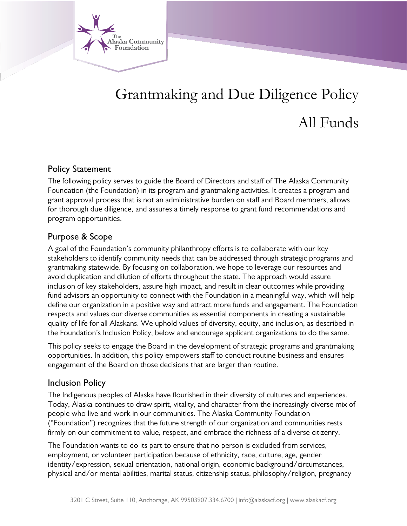

# Grantmaking and Due Diligence Policy All Funds

#### Policy Statement

The following policy serves to guide the Board of Directors and staff of The Alaska Community Foundation (the Foundation) in its program and grantmaking activities. It creates a program and grant approval process that is not an administrative burden on staff and Board members, allows for thorough due diligence, and assures a timely response to grant fund recommendations and program opportunities.

## Purpose & Scope

A goal of the Foundation's community philanthropy efforts is to collaborate with our key stakeholders to identify community needs that can be addressed through strategic programs and grantmaking statewide. By focusing on collaboration, we hope to leverage our resources and avoid duplication and dilution of efforts throughout the state. The approach would assure inclusion of key stakeholders, assure high impact, and result in clear outcomes while providing fund advisors an opportunity to connect with the Foundation in a meaningful way, which will help define our organization in a positive way and attract more funds and engagement. The Foundation respects and values our diverse communities as essential components in creating a sustainable quality of life for all Alaskans. We uphold values of diversity, equity, and inclusion, as described in the Foundation's Inclusion Policy, below and encourage applicant organizations to do the same.

This policy seeks to engage the Board in the development of strategic programs and grantmaking opportunities. In addition, this policy empowers staff to conduct routine business and ensures engagement of the Board on those decisions that are larger than routine.

#### Inclusion Policy

The Indigenous peoples of Alaska have flourished in their diversity of cultures and experiences. Today, Alaska continues to draw spirit, vitality, and character from the increasingly diverse mix of people who live and work in our communities. The Alaska Community Foundation ("Foundation") recognizes that the future strength of our organization and communities rests firmly on our commitment to value, respect, and embrace the richness of a diverse citizenry.

The Foundation wants to do its part to ensure that no person is excluded from services, employment, or volunteer participation because of ethnicity, race, culture, age, gender identity/expression, sexual orientation, national origin, economic background/circumstances, physical and/or mental abilities, marital status, citizenship status, philosophy/religion, pregnancy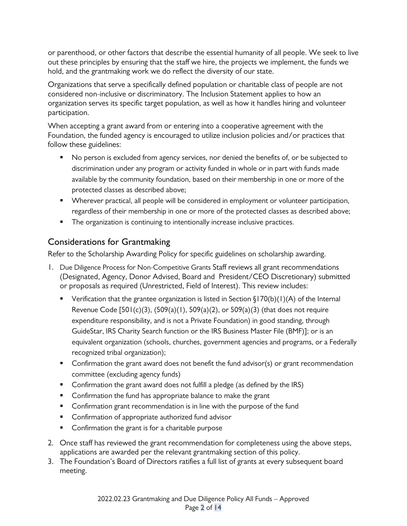or parenthood, or other factors that describe the essential humanity of all people. We seek to live out these principles by ensuring that the staff we hire, the projects we implement, the funds we hold, and the grantmaking work we do reflect the diversity of our state.

Organizations that serve a specifically defined population or charitable class of people are not considered non-inclusive or discriminatory. The Inclusion Statement applies to how an organization serves its specific target population, as well as how it handles hiring and volunteer participation.

When accepting a grant award from or entering into a cooperative agreement with the Foundation, the funded agency is encouraged to utilize inclusion policies and/or practices that follow these guidelines:

- No person is excluded from agency services, nor denied the benefits of, or be subjected to discrimination under any program or activity funded in whole or in part with funds made available by the community foundation, based on their membership in one or more of the protected classes as described above;
- **Wherever practical, all people will be considered in employment or volunteer participation,** regardless of their membership in one or more of the protected classes as described above;
- **The organization is continuing to intentionally increase inclusive practices.**

# Considerations for Grantmaking

Refer to the Scholarship Awarding Policy for specific guidelines on scholarship awarding.

- 1. Due Diligence Process for Non-Competitive Grants Staff reviews all grant recommendations (Designated, Agency, Donor Advised, Board and President/CEO Discretionary) submitted or proposals as required (Unrestricted, Field of Interest). This review includes:
	- Verification that the grantee organization is listed in Section  $\S170(b)(1)(A)$  of the Internal Revenue Code  $[501(c)(3), (509(a)(1), 509(a)(2), or 509(a)(3))$  (that does not require expenditure responsibility, and is not a Private Foundation) in good standing, through GuideStar, IRS Charity Search function or the IRS Business Master File (BMF)]; or is an equivalent organization (schools, churches, government agencies and programs, or a Federally recognized tribal organization);
	- **Confirmation the grant award does not benefit the fund advisor(s) or grant recommendation** committee (excluding agency funds)
	- **Confirmation the grant award does not fulfill a pledge (as defined by the IRS)**
	- **Confirmation the fund has appropriate balance to make the grant**
	- **•** Confirmation grant recommendation is in line with the purpose of the fund
	- **EXECONFILLET CONFILLET ADDET** Confirmation of appropriate authorized fund advisor
	- **Confirmation the grant is for a charitable purpose**
- 2. Once staff has reviewed the grant recommendation for completeness using the above steps, applications are awarded per the relevant grantmaking section of this policy.
- 3. The Foundation's Board of Directors ratifies a full list of grants at every subsequent board meeting.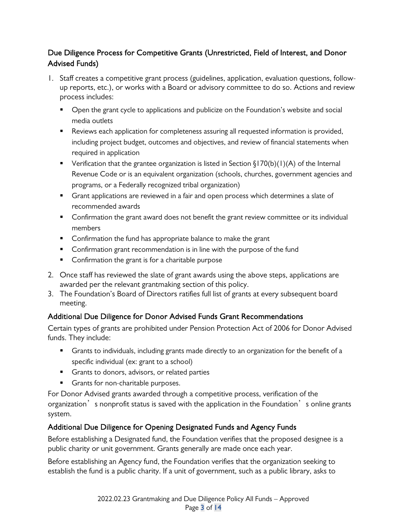## Due Diligence Process for Competitive Grants (Unrestricted, Field of Interest, and Donor Advised Funds)

- 1. Staff creates a competitive grant process (guidelines, application, evaluation questions, followup reports, etc.), or works with a Board or advisory committee to do so. Actions and review process includes:
	- **•** Open the grant cycle to applications and publicize on the Foundation's website and social media outlets
	- **Parakter 2** Reviews each application for completeness assuring all requested information is provided, including project budget, outcomes and objectives, and review of financial statements when required in application
	- Verification that the grantee organization is listed in Section  $(170(b)(1)(A)$  of the Internal Revenue Code or is an equivalent organization (schools, churches, government agencies and programs, or a Federally recognized tribal organization)
	- **F** Grant applications are reviewed in a fair and open process which determines a slate of recommended awards
	- **Confirmation the grant award does not benefit the grant review committee or its individual** members
	- **Confirmation the fund has appropriate balance to make the grant**
	- **•** Confirmation grant recommendation is in line with the purpose of the fund
	- **Confirmation the grant is for a charitable purpose**
- 2. Once staff has reviewed the slate of grant awards using the above steps, applications are awarded per the relevant grantmaking section of this policy.
- 3. The Foundation's Board of Directors ratifies full list of grants at every subsequent board meeting.

## Additional Due Diligence for Donor Advised Funds Grant Recommendations

Certain types of grants are prohibited under Pension Protection Act of 2006 for Donor Advised funds. They include:

- **Grants to individuals, including grants made directly to an organization for the benefit of a** specific individual (ex: grant to a school)
- Grants to donors, advisors, or related parties
- Grants for non-charitable purposes.

For Donor Advised grants awarded through a competitive process, verification of the organization's nonprofit status is saved with the application in the Foundation's online grants system.

## Additional Due Diligence for Opening Designated Funds and Agency Funds

Before establishing a Designated fund, the Foundation verifies that the proposed designee is a public charity or unit government. Grants generally are made once each year.

Before establishing an Agency fund, the Foundation verifies that the organization seeking to establish the fund is a public charity. If a unit of government, such as a public library, asks to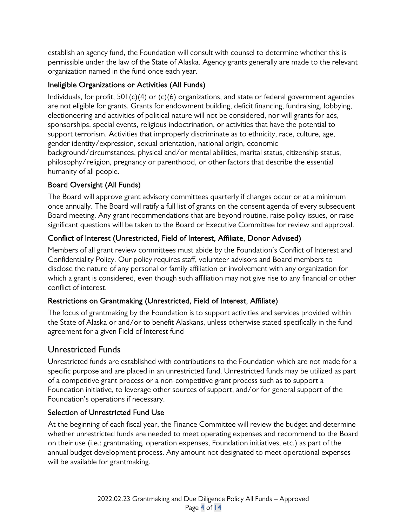establish an agency fund, the Foundation will consult with counsel to determine whether this is permissible under the law of the State of Alaska. Agency grants generally are made to the relevant organization named in the fund once each year.

## Ineligible Organizations or Activities (All Funds)

Individuals, for profit,  $501(c)(4)$  or  $(c)(6)$  organizations, and state or federal government agencies are not eligible for grants. Grants for endowment building, deficit financing, fundraising, lobbying, electioneering and activities of political nature will not be considered, nor will grants for ads, sponsorships, special events, religious indoctrination, or activities that have the potential to support terrorism. Activities that improperly discriminate as to ethnicity, race, culture, age, gender identity/expression, sexual orientation, national origin, economic background/circumstances, physical and/or mental abilities, marital status, citizenship status, philosophy/religion, pregnancy or parenthood, or other factors that describe the essential humanity of all people.

## Board Oversight (All Funds)

The Board will approve grant advisory committees quarterly if changes occur or at a minimum once annually. The Board will ratify a full list of grants on the consent agenda of every subsequent Board meeting. Any grant recommendations that are beyond routine, raise policy issues, or raise significant questions will be taken to the Board or Executive Committee for review and approval.

## Conflict of Interest (Unrestricted, Field of Interest, Affiliate, Donor Advised)

Members of all grant review committees must abide by the Foundation's Conflict of Interest and Confidentiality Policy. Our policy requires staff, volunteer advisors and Board members to disclose the nature of any personal or family affiliation or involvement with any organization for which a grant is considered, even though such affiliation may not give rise to any financial or other conflict of interest.

## Restrictions on Grantmaking (Unrestricted, Field of Interest, Affiliate)

The focus of grantmaking by the Foundation is to support activities and services provided within the State of Alaska or and/or to benefit Alaskans, unless otherwise stated specifically in the fund agreement for a given Field of Interest fund

# Unrestricted Funds

Unrestricted funds are established with contributions to the Foundation which are not made for a specific purpose and are placed in an unrestricted fund. Unrestricted funds may be utilized as part of a competitive grant process or a non-competitive grant process such as to support a Foundation initiative, to leverage other sources of support, and/or for general support of the Foundation's operations if necessary.

## Selection of Unrestricted Fund Use

At the beginning of each fiscal year, the Finance Committee will review the budget and determine whether unrestricted funds are needed to meet operating expenses and recommend to the Board on their use (i.e.: grantmaking, operation expenses, Foundation initiatives, etc.) as part of the annual budget development process. Any amount not designated to meet operational expenses will be available for grantmaking.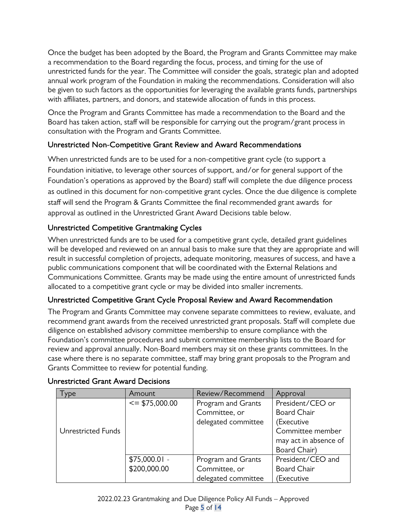Once the budget has been adopted by the Board, the Program and Grants Committee may make a recommendation to the Board regarding the focus, process, and timing for the use of unrestricted funds for the year. The Committee will consider the goals, strategic plan and adopted annual work program of the Foundation in making the recommendations. Consideration will also be given to such factors as the opportunities for leveraging the available grants funds, partnerships with affiliates, partners, and donors, and statewide allocation of funds in this process.

Once the Program and Grants Committee has made a recommendation to the Board and the Board has taken action, staff will be responsible for carrying out the program/grant process in consultation with the Program and Grants Committee.

## Unrestricted Non-Competitive Grant Review and Award Recommendations

When unrestricted funds are to be used for a non-competitive grant cycle (to support a Foundation initiative, to leverage other sources of support, and/or for general support of the Foundation's operations as approved by the Board) staff will complete the due diligence process as outlined in this document for non-competitive grant cycles. Once the due diligence is complete staff will send the Program & Grants Committee the final recommended grant awards for approval as outlined in the Unrestricted Grant Award Decisions table below.

#### Unrestricted Competitive Grantmaking Cycles

When unrestricted funds are to be used for a competitive grant cycle, detailed grant guidelines will be developed and reviewed on an annual basis to make sure that they are appropriate and will result in successful completion of projects, adequate monitoring, measures of success, and have a public communications component that will be coordinated with the External Relations and Communications Committee. Grants may be made using the entire amount of unrestricted funds allocated to a competitive grant cycle or may be divided into smaller increments.

#### Unrestricted Competitive Grant Cycle Proposal Review and Award Recommendation

The Program and Grants Committee may convene separate committees to review, evaluate, and recommend grant awards from the received unrestricted grant proposals. Staff will complete due diligence on established advisory committee membership to ensure compliance with the Foundation's committee procedures and submit committee membership lists to the Board for review and approval annually. Non-Board members may sit on these grants committees. In the case where there is no separate committee, staff may bring grant proposals to the Program and Grants Committee to review for potential funding.

| ype                | Amount            | Review/Recommend    | Approval              |
|--------------------|-------------------|---------------------|-----------------------|
|                    | $\le$ \$75,000.00 | Program and Grants  | President/CEO or      |
|                    |                   | Committee, or       | <b>Board Chair</b>    |
|                    |                   | delegated committee | (Executive            |
| Unrestricted Funds |                   |                     | Committee member      |
|                    |                   |                     | may act in absence of |
|                    |                   |                     | Board Chair)          |
|                    | $$75,000.01 -$    | Program and Grants  | President/CEO and     |
|                    | \$200,000.00      | Committee, or       | <b>Board Chair</b>    |
|                    |                   | delegated committee | Executive)            |

#### Unrestricted Grant Award Decisions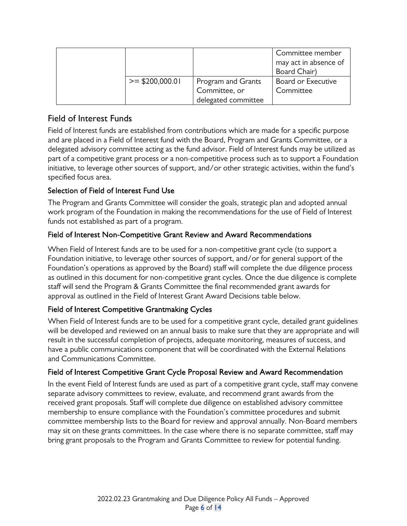|                   |                                                            | Committee member<br>may act in absence of<br>Board Chair) |
|-------------------|------------------------------------------------------------|-----------------------------------------------------------|
| $>=$ \$200,000.01 | Program and Grants<br>Committee, or<br>delegated committee | Board or Executive<br>Committee                           |

# Field of Interest Funds

Field of Interest funds are established from contributions which are made for a specific purpose and are placed in a Field of Interest fund with the Board, Program and Grants Committee, or a delegated advisory committee acting as the fund advisor. Field of Interest funds may be utilized as part of a competitive grant process or a non-competitive process such as to support a Foundation initiative, to leverage other sources of support, and/or other strategic activities, within the fund's specified focus area.

## Selection of Field of Interest Fund Use

The Program and Grants Committee will consider the goals, strategic plan and adopted annual work program of the Foundation in making the recommendations for the use of Field of Interest funds not established as part of a program.

#### Field of Interest Non-Competitive Grant Review and Award Recommendations

When Field of Interest funds are to be used for a non-competitive grant cycle (to support a Foundation initiative, to leverage other sources of support, and/or for general support of the Foundation's operations as approved by the Board) staff will complete the due diligence process as outlined in this document for non-competitive grant cycles. Once the due diligence is complete staff will send the Program & Grants Committee the final recommended grant awards for approval as outlined in the Field of Interest Grant Award Decisions table below.

## Field of Interest Competitive Grantmaking Cycles

When Field of Interest funds are to be used for a competitive grant cycle, detailed grant guidelines will be developed and reviewed on an annual basis to make sure that they are appropriate and will result in the successful completion of projects, adequate monitoring, measures of success, and have a public communications component that will be coordinated with the External Relations and Communications Committee.

#### Field of Interest Competitive Grant Cycle Proposal Review and Award Recommendation

In the event Field of Interest funds are used as part of a competitive grant cycle, staff may convene separate advisory committees to review, evaluate, and recommend grant awards from the received grant proposals. Staff will complete due diligence on established advisory committee membership to ensure compliance with the Foundation's committee procedures and submit committee membership lists to the Board for review and approval annually. Non-Board members may sit on these grants committees. In the case where there is no separate committee, staff may bring grant proposals to the Program and Grants Committee to review for potential funding.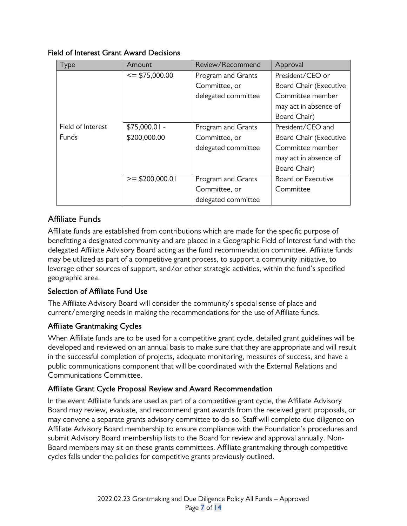#### Field of Interest Grant Award Decisions

| Type              | Amount            | Review/Recommend    | Approval               |
|-------------------|-------------------|---------------------|------------------------|
|                   | $\le$ \$75,000.00 | Program and Grants  | President/CEO or       |
|                   |                   | Committee, or       | Board Chair (Executive |
|                   |                   | delegated committee | Committee member       |
|                   |                   |                     | may act in absence of  |
|                   |                   |                     | Board Chair)           |
| Field of Interest | $$75,000.01 -$    | Program and Grants  | President/CEO and      |
| <b>Funds</b>      | \$200,000.00      | Committee, or       | Board Chair (Executive |
|                   |                   | delegated committee | Committee member       |
|                   |                   |                     | may act in absence of  |
|                   |                   |                     | Board Chair)           |
|                   | $>=$ \$200,000.01 | Program and Grants  | Board or Executive     |
|                   |                   | Committee, or       | Committee              |
|                   |                   | delegated committee |                        |

# Affiliate Funds

Affiliate funds are established from contributions which are made for the specific purpose of benefitting a designated community and are placed in a Geographic Field of Interest fund with the delegated Affiliate Advisory Board acting as the fund recommendation committee. Affiliate funds may be utilized as part of a competitive grant process, to support a community initiative, to leverage other sources of support, and/or other strategic activities, within the fund's specified geographic area.

## Selection of Affiliate Fund Use

The Affiliate Advisory Board will consider the community's special sense of place and current/emerging needs in making the recommendations for the use of Affiliate funds.

## Affiliate Grantmaking Cycles

When Affiliate funds are to be used for a competitive grant cycle, detailed grant guidelines will be developed and reviewed on an annual basis to make sure that they are appropriate and will result in the successful completion of projects, adequate monitoring, measures of success, and have a public communications component that will be coordinated with the External Relations and Communications Committee.

#### Affiliate Grant Cycle Proposal Review and Award Recommendation

In the event Affiliate funds are used as part of a competitive grant cycle, the Affiliate Advisory Board may review, evaluate, and recommend grant awards from the received grant proposals, or may convene a separate grants advisory committee to do so. Staff will complete due diligence on Affiliate Advisory Board membership to ensure compliance with the Foundation's procedures and submit Advisory Board membership lists to the Board for review and approval annually. Non-Board members may sit on these grants committees. Affiliate grantmaking through competitive cycles falls under the policies for competitive grants previously outlined.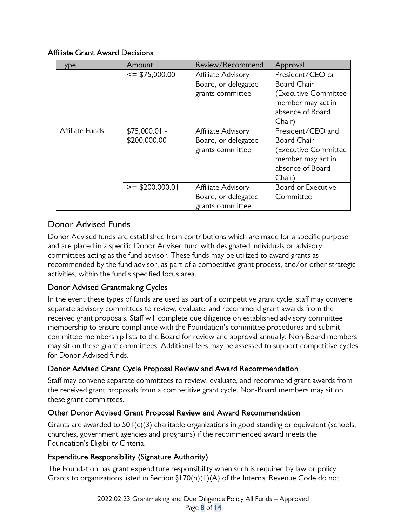#### Affiliate Grant Award Decisions

| Type            | Amount                         | Review/Recommend                                              | Approval                                                                                                           |
|-----------------|--------------------------------|---------------------------------------------------------------|--------------------------------------------------------------------------------------------------------------------|
|                 | $\le$ \$75,000.00              | Affiliate Advisory<br>Board, or delegated<br>grants committee | President/CEO or<br><b>Board Chair</b><br>(Executive Committee<br>member may act in<br>absence of Board            |
|                 |                                |                                                               | Chair)                                                                                                             |
| Affiliate Funds | $$75,000.01 -$<br>\$200,000.00 | Affiliate Advisory<br>Board, or delegated<br>grants committee | President/CEO and<br><b>Board Chair</b><br>(Executive Committee<br>member may act in<br>absence of Board<br>Chair) |
|                 | $>=$ \$200,000.01              | Affiliate Advisory<br>Board, or delegated<br>grants committee | Board or Executive<br>Committee                                                                                    |

# Donor Advised Funds

Donor Advised funds are established from contributions which are made for a specific purpose and are placed in a specific Donor Advised fund with designated individuals or advisory committees acting as the fund advisor. These funds may be utilized to award grants as recommended by the fund advisor, as part of a competitive grant process, and/or other strategic activities, within the fund's specified focus area.

## Donor Advised Grantmaking Cycles

In the event these types of funds are used as part of a competitive grant cycle, staff may convene separate advisory committees to review, evaluate, and recommend grant awards from the received grant proposals. Staff will complete due diligence on established advisory committee membership to ensure compliance with the Foundation's committee procedures and submit committee membership lists to the Board for review and approval annually. Non-Board members may sit on these grant committees. Additional fees may be assessed to support competitive cycles for Donor Advised funds.

## Donor Advised Grant Cycle Proposal Review and Award Recommendation

Staff may convene separate committees to review, evaluate, and recommend grant awards from the received grant proposals from a competitive grant cycle. Non-Board members may sit on these grant committees.

#### Other Donor Advised Grant Proposal Review and Award Recommendation

Grants are awarded to 501(c)(3) charitable organizations in good standing or equivalent (schools, churches, government agencies and programs) if the recommended award meets the Foundation's Eligibility Criteria.

#### Expenditure Responsibility (Signature Authority)

The Foundation has grant expenditure responsibility when such is required by law or policy. Grants to organizations listed in Section §170(b)(1)(A) of the Internal Revenue Code do not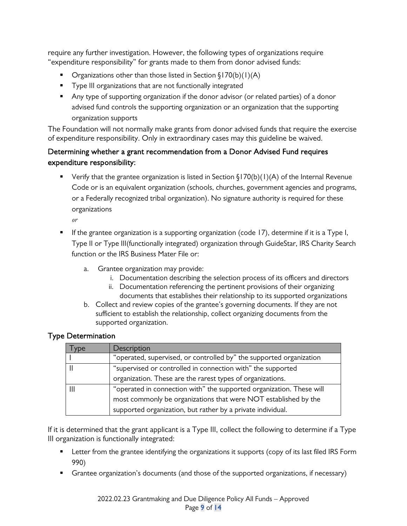require any further investigation. However, the following types of organizations require "expenditure responsibility" for grants made to them from donor advised funds:

- Organizations other than those listed in Section  $\S170(b)(1)(A)$
- **Type III organizations that are not functionally integrated**
- Any type of supporting organization if the donor advisor (or related parties) of a donor advised fund controls the supporting organization or an organization that the supporting organization supports

The Foundation will not normally make grants from donor advised funds that require the exercise of expenditure responsibility. Only in extraordinary cases may this guideline be waived.

## Determining whether a grant recommendation from a Donor Advised Fund requires expenditure responsibility:

■ Verify that the grantee organization is listed in Section  $\S170(b)(1)(A)$  of the Internal Revenue Code or is an equivalent organization (schools, churches, government agencies and programs, or a Federally recognized tribal organization). No signature authority is required for these organizations

*or*

- **If the grantee organization is a supporting organization (code 17), determine if it is a Type I,** Type II or Type III(functionally integrated) organization through GuideStar, IRS Charity Search function or the IRS Business Mater File or:
	- a. Grantee organization may provide:
		- i. Documentation describing the selection process of its officers and directors
		- ii. Documentation referencing the pertinent provisions of their organizing documents that establishes their relationship to its supported organizations
	- b. Collect and review copies of the grantee's governing documents. If they are not sufficient to establish the relationship, collect organizing documents from the supported organization.

#### Type Determination

| /De | Description                                                          |
|-----|----------------------------------------------------------------------|
|     | "operated, supervised, or controlled by" the supported organization  |
|     | "supervised or controlled in connection with" the supported          |
|     | organization. These are the rarest types of organizations.           |
|     | "operated in connection with" the supported organization. These will |
|     | most commonly be organizations that were NOT established by the      |
|     | supported organization, but rather by a private individual.          |

If it is determined that the grant applicant is a Type III, collect the following to determine if a Type III organization is functionally integrated:

- **EXECT** Letter from the grantee identifying the organizations it supports (copy of its last filed IRS Form 990)
- **Grantee organization's documents (and those of the supported organizations, if necessary)**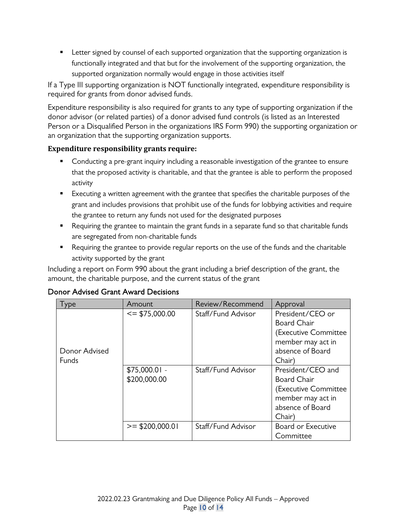**EXECT** Letter signed by counsel of each supported organization that the supporting organization is functionally integrated and that but for the involvement of the supporting organization, the supported organization normally would engage in those activities itself

If a Type III supporting organization is NOT functionally integrated, expenditure responsibility is required for grants from donor advised funds.

Expenditure responsibility is also required for grants to any type of supporting organization if the donor advisor (or related parties) of a donor advised fund controls (is listed as an Interested Person or a Disqualified Person in the organizations IRS Form 990) the supporting organization or an organization that the supporting organization supports.

#### **Expenditure responsibility grants require:**

- **Conducting a pre-grant inquiry including a reasonable investigation of the grantee to ensure** that the proposed activity is charitable, and that the grantee is able to perform the proposed activity
- **Executing a written agreement with the grantee that specifies the charitable purposes of the** grant and includes provisions that prohibit use of the funds for lobbying activities and require the grantee to return any funds not used for the designated purposes
- **•** Requiring the grantee to maintain the grant funds in a separate fund so that charitable funds are segregated from non-charitable funds
- **•** Requiring the grantee to provide regular reports on the use of the funds and the charitable activity supported by the grant

Including a report on Form 990 about the grant including a brief description of the grant, the amount, the charitable purpose, and the current status of the grant

| l ype                         | Amount                         | Review/Recommend   | Approval                                                                                                           |
|-------------------------------|--------------------------------|--------------------|--------------------------------------------------------------------------------------------------------------------|
| Donor Advised<br><b>Funds</b> | $\le$ \$75,000.00              | Staff/Fund Advisor | President/CEO or<br><b>Board Chair</b><br>(Executive Committee<br>member may act in<br>absence of Board<br>Chair)  |
|                               | $$75,000.01 -$<br>\$200,000.00 | Staff/Fund Advisor | President/CEO and<br><b>Board Chair</b><br>(Executive Committee<br>member may act in<br>absence of Board<br>Chair) |
|                               | $>=$ \$200,000.01              | Staff/Fund Advisor | Board or Executive<br>Committee                                                                                    |

#### Donor Advised Grant Award Decisions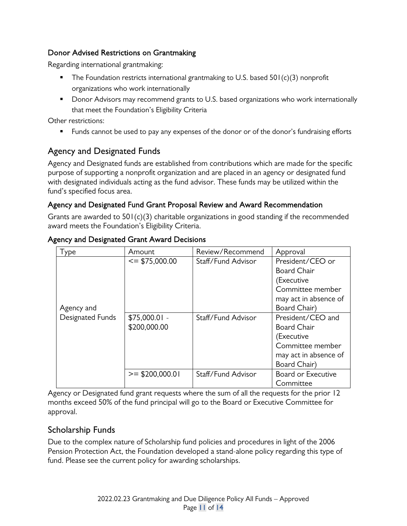#### Donor Advised Restrictions on Grantmaking

Regarding international grantmaking:

- $\blacksquare$  The Foundation restricts international grantmaking to U.S. based  $501(c)(3)$  nonprofit organizations who work internationally
- **Donor Advisors may recommend grants to U.S. based organizations who work internationally** that meet the Foundation's Eligibility Criteria

Other restrictions:

**Funds cannot be used to pay any expenses of the donor or of the donor's fundraising efforts** 

# Agency and Designated Funds

Agency and Designated funds are established from contributions which are made for the specific purpose of supporting a nonprofit organization and are placed in an agency or designated fund with designated individuals acting as the fund advisor. These funds may be utilized within the fund's specified focus area.

#### Agency and Designated Fund Grant Proposal Review and Award Recommendation

Grants are awarded to 501(c)(3) charitable organizations in good standing if the recommended award meets the Foundation's Eligibility Criteria.

| ype              | Amount            | Review/Recommend   | Approval              |
|------------------|-------------------|--------------------|-----------------------|
|                  | $\le$ \$75,000.00 | Staff/Fund Advisor | President/CEO or      |
|                  |                   |                    | <b>Board Chair</b>    |
|                  |                   |                    | (Executive            |
|                  |                   |                    | Committee member      |
|                  |                   |                    | may act in absence of |
| Agency and       |                   |                    | Board Chair)          |
| Designated Funds | $$75,000.01 -$    | Staff/Fund Advisor | President/CEO and     |
|                  | \$200,000.00      |                    | <b>Board Chair</b>    |
|                  |                   |                    | (Executive            |
|                  |                   |                    | Committee member      |
|                  |                   |                    | may act in absence of |
|                  |                   |                    | Board Chair)          |
|                  | $>=$ \$200,000.01 | Staff/Fund Advisor | Board or Executive    |
|                  |                   |                    | Committee             |

#### Agency and Designated Grant Award Decisions

Agency or Designated fund grant requests where the sum of all the requests for the prior 12 months exceed 50% of the fund principal will go to the Board or Executive Committee for approval.

## Scholarship Funds

Due to the complex nature of Scholarship fund policies and procedures in light of the 2006 Pension Protection Act, the Foundation developed a stand-alone policy regarding this type of fund. Please see the current policy for awarding scholarships.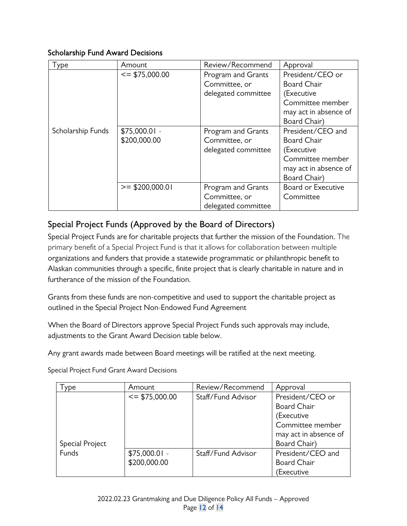#### Scholarship Fund Award Decisions

| l ype             | Amount            | Review/Recommend    | Approval                  |
|-------------------|-------------------|---------------------|---------------------------|
|                   | $\le$ \$75,000.00 | Program and Grants  | President/CEO or          |
|                   |                   | Committee, or       | <b>Board Chair</b>        |
|                   |                   | delegated committee | (Executive                |
|                   |                   |                     | Committee member          |
|                   |                   |                     | may act in absence of     |
|                   |                   |                     | Board Chair)              |
| Scholarship Funds | $$75,000.01 -$    | Program and Grants  | President/CEO and         |
|                   | \$200,000.00      | Committee, or       | <b>Board Chair</b>        |
|                   |                   | delegated committee | (Executive                |
|                   |                   |                     | Committee member          |
|                   |                   |                     | may act in absence of     |
|                   |                   |                     | Board Chair)              |
|                   | $>=$ \$200,000.01 | Program and Grants  | <b>Board or Executive</b> |
|                   |                   | Committee, or       | Committee                 |
|                   |                   | delegated committee |                           |

# Special Project Funds (Approved by the Board of Directors)

Special Project Funds are for charitable projects that further the mission of the Foundation. The primary benefit of a Special Project Fund is that it allows for collaboration between multiple organizations and funders that provide a statewide programmatic or philanthropic benefit to Alaskan communities through a specific, finite project that is clearly charitable in nature and in furtherance of the mission of the Foundation.

Grants from these funds are non-competitive and used to support the charitable project as outlined in the Special Project Non-Endowed Fund Agreement

When the Board of Directors approve Special Project Funds such approvals may include, adjustments to the Grant Award Decision table below.

Any grant awards made between Board meetings will be ratified at the next meeting.

| ype             | Amount            | Review/Recommend   | Approval              |
|-----------------|-------------------|--------------------|-----------------------|
|                 | $\le$ \$75,000.00 | Staff/Fund Advisor | President/CEO or      |
|                 |                   |                    | <b>Board Chair</b>    |
|                 |                   |                    | (Executive            |
|                 |                   |                    | Committee member      |
|                 |                   |                    | may act in absence of |
| Special Project |                   |                    | Board Chair)          |
| Funds           | $$75,000.01 -$    | Staff/Fund Advisor | President/CEO and     |
|                 | \$200,000.00      |                    | <b>Board Chair</b>    |
|                 |                   |                    | Executive             |

Special Project Fund Grant Award Decisions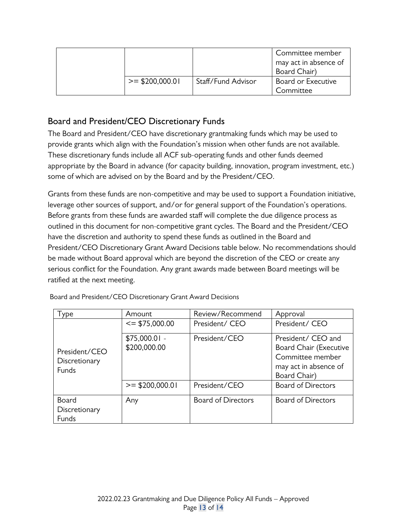|                   |                    | Committee member<br>may act in absence of<br>Board Chair) |
|-------------------|--------------------|-----------------------------------------------------------|
| $>=$ \$200,000.01 | Staff/Fund Advisor | Board or Executive<br>Committee                           |

# Board and President/CEO Discretionary Funds

The Board and President/CEO have discretionary grantmaking funds which may be used to provide grants which align with the Foundation's mission when other funds are not available. These discretionary funds include all ACF sub-operating funds and other funds deemed appropriate by the Board in advance (for capacity building, innovation, program investment, etc.) some of which are advised on by the Board and by the President/CEO.

Grants from these funds are non-competitive and may be used to support a Foundation initiative, leverage other sources of support, and/or for general support of the Foundation's operations. Before grants from these funds are awarded staff will complete the due diligence process as outlined in this document for non-competitive grant cycles. The Board and the President/CEO have the discretion and authority to spend these funds as outlined in the Board and President/CEO Discretionary Grant Award Decisions table below. No recommendations should be made without Board approval which are beyond the discretion of the CEO or create any serious conflict for the Foundation. Any grant awards made between Board meetings will be ratified at the next meeting.

| ype                                     | Amount                         | Review/Recommend          | Approval                                                                                                         |
|-----------------------------------------|--------------------------------|---------------------------|------------------------------------------------------------------------------------------------------------------|
|                                         | $\le$ \$75,000.00              | President/ CEO            | President/ CEO                                                                                                   |
| President/CEO<br>Discretionary<br>Funds | $$75,000.01 -$<br>\$200,000.00 | President/CEO             | President/ CEO and<br><b>Board Chair (Executive</b><br>Committee member<br>may act in absence of<br>Board Chair) |
|                                         | $>=$ \$200,000.01              | President/CEO             | <b>Board of Directors</b>                                                                                        |
| Board<br>Discretionary<br>Funds         | Any                            | <b>Board of Directors</b> | <b>Board of Directors</b>                                                                                        |

Board and President/CEO Discretionary Grant Award Decisions